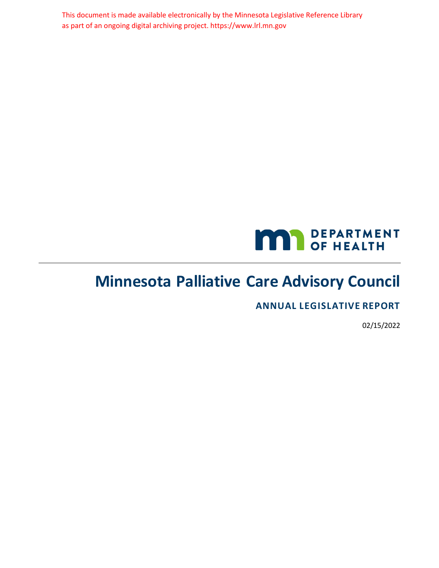This document is made available electronically by the Minnesota Legislative Reference Library as part of an ongoing digital archiving project. https://www.lrl.mn.gov



# <span id="page-0-0"></span>**Minnesota Palliative Care Advisory Council**

**ANNUAL LEGISLATIVE REPORT**

02/15/2022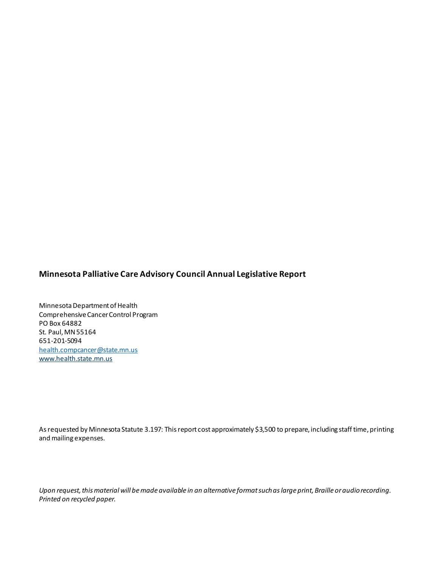### **Minnesota Palliative Care Advisory Council Annual Legislative Report**

Minnesota Department of Health Comprehensive Cancer Control Program PO Box 64882 St. Paul, MN 55164 651-201-5094 [health.compcancer@state.mn.us](mailto:health.compcancer@state.mn.us) [www.health.state.mn.us](http://www.health.state.mn.us/)

As requested by Minnesota Statute 3.197: This report cost approximately \$3,500 to prepare, including staff time, printing and mailing expenses.

*Upon request, this material will be made available in an alternative format such as large print, Braille or audio recording. Printed on recycled paper.*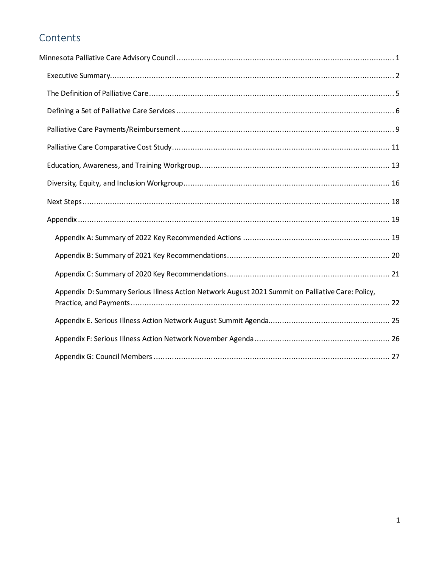## Contents

| Appendix D: Summary Serious Illness Action Network August 2021 Summit on Palliative Care: Policy, |  |
|---------------------------------------------------------------------------------------------------|--|
|                                                                                                   |  |
|                                                                                                   |  |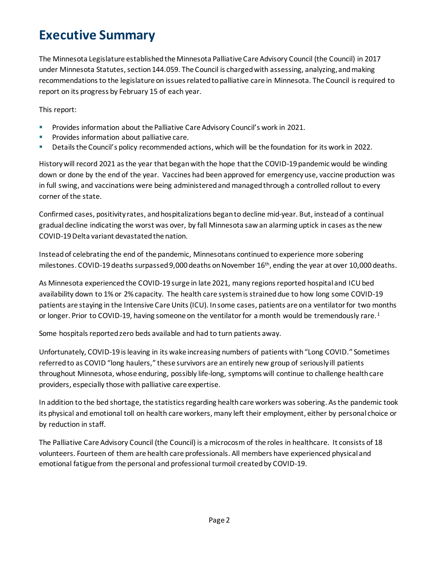# <span id="page-3-0"></span>**Executive Summary**

The Minnesota Legislature established the Minnesota Palliative Care Advisory Council (the Council) in 2017 under Minnesota Statutes, section 144.059. The Council is charged with assessing, analyzing, and making recommendations to the legislature on issues related to palliative care in Minnesota. The Council is required to report on its progress by February 15 of each year.

This report:

- **Provides information about the Palliative Care Advisory Council's work in 2021.**
- Provides information about palliative care.
- Details the Council's policy recommended actions, which will be the foundation for its work in 2022.

History will record 2021 as the year that began with the hope that the COVID-19 pandemic would be winding down or done by the end of the year. Vaccines had been approved for emergency use, vaccine production was in full swing, and vaccinations were being administeredand managed through a controlled rollout to every corner of the state.

Confirmed cases, positivity rates, and hospitalizations began to decline mid-year. But, instead of a continual gradual decline indicating the worst was over, by fall Minnesota saw an alarming uptick in cases as the new COVID-19 Delta variant devastated the nation.

Instead of celebrating the end of the pandemic, Minnesotans continued to experience more sobering milestones. COVID-19 deaths surpassed 9,000 deaths on November 16th, ending the year at over 10,000 deaths.

As Minnesota experienced the COVID-19 surge in late 2021, many regions reported hospital and ICU bed availability down to 1% or 2% capacity. The health care system is strained due to how long some COVID-19 patients are staying in the Intensive Care Units (ICU). In some cases, patients are on a ventilator for two months or longer. Prior to COVID-[1](#page-5-0)9, having someone on the ventilator for a month would be tremendously rare.<sup>1</sup>

Some hospitals reported zero beds available and had to turn patients away.

Unfortunately, COVID-19 is leaving in its wake increasing numbers of patients with "Long COVID." Sometimes referred to as COVID "long haulers," these survivors are an entirely new group of seriously ill patients throughout Minnesota, whose enduring, possibly life-long, symptoms will continue to challenge health care providers, especially those with palliative care expertise.

In addition to the bed shortage, the statistics regarding health care workers was sobering. As the pandemic took its physical and emotional toll on health care workers, many left their employment, either by personal choice or by reduction in staff.

The Palliative Care Advisory Council (the Council) is a microcosm of the roles in healthcare. It consists of 18 volunteers. Fourteen of them are health care professionals. All members have experienced physical and emotional fatigue from the personal and professional turmoil created by COVID-19.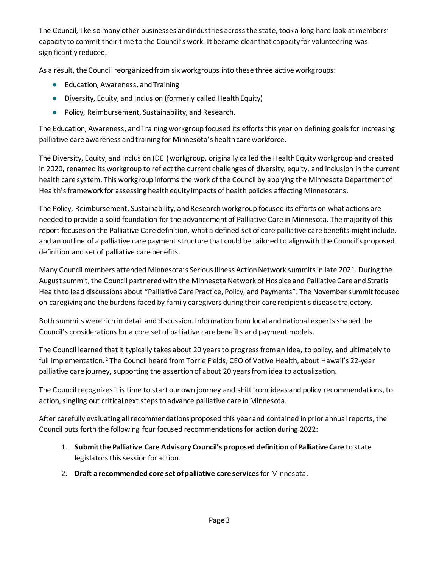The Council, like so many other businesses and industries across the state, took a long hard look at members' capacity to commit their time to the Council's work. It became clear that capacity for volunteering was significantly reduced.

As a result, the Council reorganized from six workgroups into these three active workgroups:

- Education, Awareness, and Training
- Diversity, Equity, and Inclusion (formerly called Health Equity)
- Policy, Reimbursement, Sustainability, and Research.

The Education, Awareness, and Training workgroup focused its efforts this year on defining goals for increasing palliative care awareness and training for Minnesota's health care workforce.

The Diversity, Equity, and Inclusion (DEI) workgroup, originally called the Health Equity workgroup and created in 2020, renamed its workgroup to reflect the current challenges of diversity, equity, and inclusion in the current health care system. This workgroup informs the work of the Council by applying the Minnesota Department of Health's framework for assessing health equity impacts of health policies affecting Minnesotans.

The Policy, Reimbursement, Sustainability, and Research workgroup focused its efforts on what actions are needed to provide a solid foundation for the advancement of Palliative Care in Minnesota. The majority of this report focuses on the Palliative Care definition, what a defined set of core palliative care benefits might include, and an outline of a palliative care payment structure that could be tailored to align with the Council's proposed definition and set of palliative care benefits.

Many Council members attended Minnesota's Serious Illness Action Network summits in late 2021. During the August summit, the Council partnered with the Minnesota Network of Hospice and Palliative Care and Stratis Health to lead discussions about "Palliative Care Practice, Policy, and Payments". The November summit focused on caregiving and the burdens faced by family caregivers during their care recipient's disease trajectory.

Both summits were rich in detail and discussion. Information from local and national experts shaped the Council's considerations for a core set of palliative care benefits and payment models.

The Council learned that it typically takes about 20 years to progress from an idea, to policy, and ultimately to full implementation.<sup>[2](#page-5-1)</sup> The Council heard from Torrie Fields, CEO of Votive Health, about Hawaii's 22-year palliative care journey, supporting the assertion of about 20 years from idea to actualization.

The Council recognizes it is time to start our own journey and shift from ideas and policy recommendations, to action, singling out critical next steps to advance palliative care in Minnesota.

After carefully evaluating all recommendations proposed this year and contained in prior annual reports, the Council puts forth the following four focused recommendations for action during 2022:

- 1. **Submit the Palliative Care Advisory Council's proposed definition of Palliative Care** to state legislators this session for action.
- 2. **Draft a recommended core set of palliative care services**for Minnesota.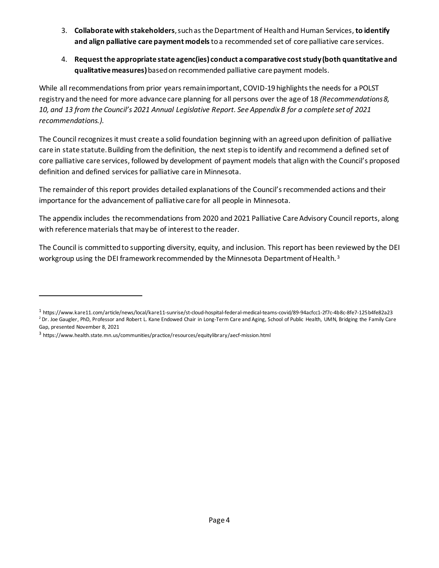- 3. **Collaborate with stakeholders**, such as the Department of Health and Human Services, **to identify and align palliative care payment models** to a recommended set of core palliative care services.
- 4. **Request the appropriate state agenc(ies) conduct a comparative cost study(both quantitative and qualitative measures)**based on recommended palliative care payment models.

While all recommendations from prior years remain important, COVID-19 highlights the needs for a POLST registry and the need for more advance care planning for all persons over the age of 18 *(Recommendations 8, 10, and 13 from the Council's 2021 Annual Legislative Report. See Appendix B for a complete set of 2021 recommendations.).*

The Council recognizes it must create a solid foundation beginning with an agreed upon definition of palliative care in state statute. Building from the definition, the next step is to identify and recommend a defined set of core palliative care services, followed by development of payment models that align with the Council's proposed definition and defined services for palliative care in Minnesota.

The remainder of this report provides detailed explanations of the Council's recommended actions and their importance for the advancement of palliative care for all people in Minnesota.

The appendix includes the recommendations from 2020 and 2021 Palliative Care Advisory Council reports, along with reference materials that may be of interest to the reader.

The Council is committed to supporting diversity, equity, and inclusion. This report has been reviewed by the DEI workgroup using the DEI framework recommended by the Minnesota Department of Health.<sup>[3](#page-5-2)</sup>

<span id="page-5-1"></span><span id="page-5-0"></span><sup>1</sup> https://www.kare11.com/article/news/local/kare11-sunrise/st-cloud-hospital-federal-medical-teams-covid/89-94acfcc1-2f7c-4b8c-8fe7-125b4fe82a23 <sup>2</sup> Dr. Joe Gaugler, PhD, Professor and Robert L. Kane Endowed Chair in Long-Term Care and Aging, School of Public Health, UMN, Bridging the Family Care Gap, presented November 8, 2021

<span id="page-5-2"></span><sup>3</sup> https://www.health.state.mn.us/communities/practice/resources/equitylibrary/aecf-mission.html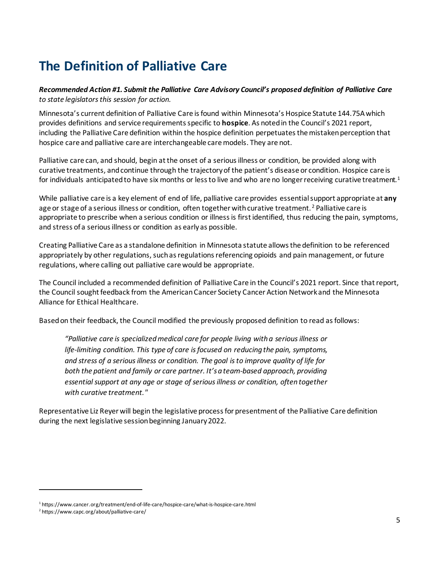# <span id="page-6-0"></span>**The Definition of Palliative Care**

*Recommended Action #1. Submit the Palliative Care Advisory Council's proposed definition of Palliative Care to state legislators this session for action.*

Minnesota's current definition of Palliative Care is found within Minnesota's Hospice Statute 144.75A which provides definitions and service requirements specific to **hospice**. As noted in the Council's 2021 report, including the Palliative Care definition within the hospice definition perpetuates the mistaken perception that hospice care and palliative care are interchangeable care models. They are not.

Palliative care can, and should, begin at the onset of a serious illness or condition, be provided along with curative treatments, and continue through the trajectory of the patient's disease or condition. Hospice care is for individuals anticipated to have six months or less to live and who are no longer receiving curative treatment.<sup>1</sup>

While palliative care is a key element of end of life, palliative care provides essentialsupport appropriate at **any** age or stage of a serious illness or condition, often together with curative treatment. <sup>[2](#page-6-2)</sup> Palliative care is appropriate to prescribe when a serious condition or illness is first identified, thus reducing the pain, symptoms, and stress of a serious illness or condition as early as possible.

Creating Palliative Care as a standalone definition in Minnesota statute allows the definition to be referenced appropriately by other regulations, such as regulations referencing opioids and pain management, or future regulations, where calling out palliative care would be appropriate.

The Council included a recommended definition of Palliative Care in the Council's 2021 report. Since that report, the Council sought feedback from the American Cancer Society Cancer Action Network and the Minnesota Alliance for Ethical Healthcare.

Based on their feedback, the Council modified the previously proposed definition to read as follows:

*"Palliative care is specialized medical care for people living with a serious illness or life-limiting condition. This type of care is focused on reducing the pain, symptoms, and stress of a serious illness or condition. The goal is to improve quality of life for both the patient and family or care partner. It's a team-based approach, providing essential support at any age or stage of serious illness or condition, often together with curative treatment."*

Representative Liz Reyer will begin the legislative process for presentment of the Palliative Care definition during the next legislative session beginning January 2022.

<span id="page-6-1"></span><sup>&</sup>lt;sup>1</sup> https://www.cancer.org/treatment/end-of-life-care/hospice-care/what-is-hospice-care.html

<span id="page-6-2"></span><sup>2</sup> https://www.capc.org/about/palliative-care/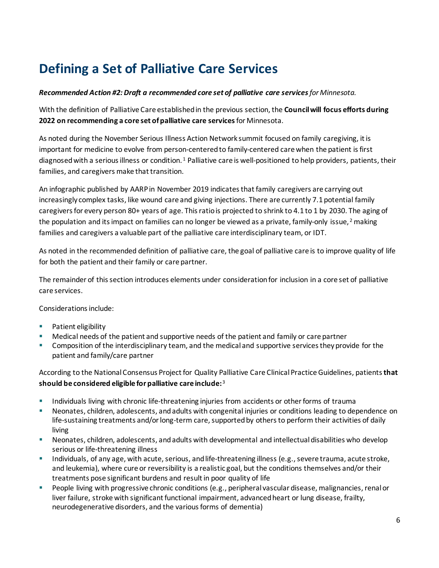# <span id="page-7-0"></span>**Defining a Set of Palliative Care Services**

#### *Recommended Action #2:Draft a recommended core set of palliative care servicesfor Minnesota.*

With the definition of Palliative Care established in the previous section, the **Council will focus efforts during 2022 on recommending a core set of palliative care services**for Minnesota.

As noted during the November Serious Illness Action Network summit focused on family caregiving, it is important for medicine to evolve from person-centered to family-centered care when the patient is first diagnosed with a serious illness or condition.<sup>[1](#page-9-0)</sup> Palliative care is well-positioned to help providers, patients, their families, and caregivers make that transition.

An infographic published by AARP in November 2019 indicates that family caregivers are carrying out increasingly complex tasks, like wound care and giving injections. There are currently 7.1 potential family caregivers for every person 80+ years of age. This ratio is projected to shrink to 4.1 to 1 by 2030. The aging of the population and its impact on families can no longer be viewed as a private, family-only issue,  $2$  making families and caregivers a valuable part of the palliative care interdisciplinary team, or IDT.

As noted in the recommended definition of palliative care, the goal of palliative care is to improve quality of life for both the patient and their family or care partner.

The remainder of this section introduces elements under consideration for inclusion in a core set of palliative care services.

Considerations include:

- **Patient eligibility**
- Medical needs of the patient and supportive needs of the patient and family or care partner
- **Composition of the interdisciplinary team, and the medical and supportive services they provide for the** patient and family/care partner

According to the National Consensus Project for Quality Palliative Care Clinical Practice Guidelines, patients**that should be considered eligible for palliative care include:**[3](#page-9-2)

- **Individuals living with chronic life-threatening injuries from accidents or other forms of trauma**
- Neonates, children, adolescents, and adults with congenital injuries or conditions leading to dependence on life-sustaining treatments and/or long-term care, supported by others to perform their activities of daily living
- Neonates, children, adolescents, and adults with developmental and intellectual disabilities who develop serious or life-threatening illness
- Individuals, of any age, with acute, serious, and life-threatening illness (e.g., severe trauma, acute stroke, and leukemia), where cure or reversibility is a realistic goal, but the conditions themselves and/or their treatments pose significant burdens and result in poor quality of life
- People living with progressive chronic conditions (e.g., peripheral vascular disease, malignancies, renal or liver failure, stroke with significant functional impairment, advanced heart or lung disease, frailty, neurodegenerative disorders, and the various forms of dementia)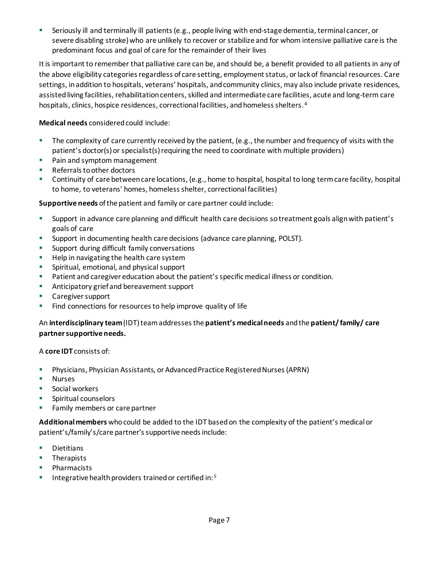Seriously ill and terminally ill patients (e.g., people living with end-stage dementia, terminal cancer, or severe disabling stroke) who are unlikely to recover or stabilize and for whom intensive palliative care is the predominant focus and goal of care for the remainder of their lives

It is important to remember that palliative care can be, and should be, a benefit provided to all patients in any of the above eligibility categories regardless of care setting, employment status, or lack of financial resources. Care settings, in addition to hospitals, veterans' hospitals, and community clinics, may also include private residences, assisted living facilities, rehabilitation centers, skilled and intermediate care facilities, acute and long-term care hospitals, clinics, hospice residences, correctional facilities, and homeless shelters. [4](#page-9-3)

**Medical needs** considered could include:

- The complexity of care currently received by the patient, (e.g., the number and frequency of visits with the patient's doctor(s) or specialist(s) requiring the need to coordinate with multiple providers)
- **Pain and symptom management**
- Referrals to other doctors
- Continuity of care between care locations, (e.g., home to hospital, hospital to long term care facility, hospital to home, to veterans' homes, homeless shelter, correctional facilities)

**Supportive needs** of the patient and family or care partner could include:

- Support in advance care planning and difficult health care decisions so treatment goals align with patient's goals of care
- **Support in documenting health care decisions (advance care planning, POLST).**
- **Support during difficult family conversations**
- Help in navigating the health care system
- **Spiritual, emotional, and physical support**
- Patient and caregiver education about the patient's specific medical illness or condition.
- **Anticipatory grief and bereavement support**
- **Caregiver support**
- Find connections for resources to help improve quality of life

#### An **interdisciplinary team**(IDT) team addresses the **patient's medical needs** and the **patient/ family/ care partner supportive needs.**

A **core IDT** consists of:

- Physicians, Physician Assistants, or Advanced Practice Registered Nurses (APRN)
- Nurses
- Social workers
- **Spiritual counselors**
- **Family members or care partner**

**Additional members** whocould be added to the IDT based on the complexity of the patient's medical or patient's/family's/care partner's supportive needs include:

- **Dietitians**
- **Therapists**
- **Pharmacists**
- Integrative health providers trained or certified in:  $5$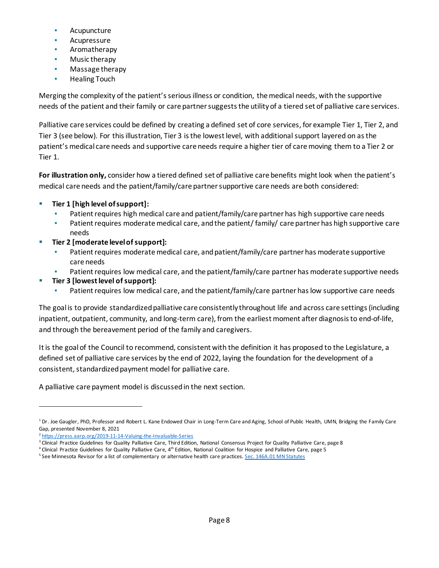- Acupuncture
- Acupressure
- Aromatherapy
- Music therapy
- Massage therapy
- Healing Touch

Merging the complexity of the patient's serious illness or condition, the medical needs, with the supportive needs of the patient and their family or care partner suggests the utility of a tiered set of palliative care services.

Palliative care services could be defined by creating a defined set of core services, for example Tier 1, Tier 2, and Tier 3 (see below). For this illustration, Tier 3 is the lowest level, with additional support layered on as the patient's medical care needs and supportive care needs require a higher tier of care moving them to a Tier 2 or Tier 1.

**For illustration only,** consider how a tiered defined set of palliative care benefits might look when the patient's medical care needs and the patient/family/care partner supportive care needs are both considered:

- **Tier 1 [high level of support]:** 
	- Patient requires high medical care and patient/family/care partner has high supportive care needs
	- **•** Patient requires moderate medical care, and the patient/ family/ care partner has high supportive care needs
- **Tier 2 [moderate level of support]:** 
	- Patient requires moderate medical care, and patient/family/care partner has moderate supportive care needs
	- Patient requires low medical care, and the patient/family/care partner has moderate supportive needs
- **Tier 3 [lowest level of support]:** 
	- Patient requires low medical care, and the patient/family/care partner has low supportive care needs

The goal is to provide standardized palliative care consistently throughout life and across care settings (including inpatient, outpatient, community, and long-term care), from the earliest moment after diagnosis to end-of-life, and through the bereavement period of the family and caregivers.

It is the goal of the Council to recommend, consistent with the definition it has proposed to the Legislature, a defined set of palliative care services by the end of 2022, laying the foundation for the development of a consistent, standardized payment model for palliative care.

A palliative care payment model is discussed in the next section.

<span id="page-9-0"></span><sup>&</sup>lt;sup>1</sup> Dr. Joe Gaugler, PhD, Professor and Robert L. Kane Endowed Chair in Long-Term Care and Aging, School of Public Health, UMN, Bridging the Family Care Gap, presented November 8, 2021

<span id="page-9-1"></span><sup>&</sup>lt;sup>2</sup> <https://press.aarp.org/2019-11-14-Valuing-the-Invaluable-Series>

<span id="page-9-2"></span><sup>&</sup>lt;sup>3</sup> Clinical Practice Guidelines for Quality Palliative Care, Third Edition, National Consensus Project for Quality Palliative Care, page 8

<span id="page-9-3"></span> $4$  Clinical Practice Guidelines for Quality Palliative Care,  $4<sup>th</sup>$  Edition, National Coalition for Hospice and Palliative Care, page 5

<span id="page-9-4"></span><sup>&</sup>lt;sup>5</sup> See Minnesota Revisor for a list of complementary or alternative health care practices[. Sec. 146A.01 MN Statutes](https://www.revisor.mn.gov/statutes/cite/146A.01)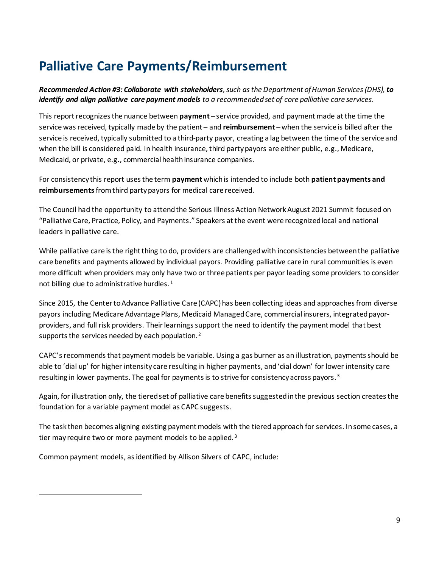# <span id="page-10-0"></span>**Palliative Care Payments/Reimbursement**

*Recommended Action #3: Collaborate with stakeholders, such as the Department of Human Services (DHS), to identify and align palliative care payment models to a recommended set of core palliative care services.*

This report recognizes the nuance between **payment** – service provided, and payment made at the time the service was received, typically made by the patient – and **reimbursement** – when the service is billed after the service is received, typically submitted to a third-party payor, creating a lag between the time of the service and when the bill is considered paid. In health insurance, third party payors are either public, e.g., Medicare, Medicaid, or private, e.g., commercial health insurance companies.

For consistency this report uses the term **payment** which is intended to include both **patient payments and reimbursements**from third party payors for medical care received.

The Council had the opportunity to attend the Serious Illness Action Network August 2021 Summit focused on "Palliative Care, Practice, Policy, and Payments." Speakers at the event were recognized local and national leaders in palliative care.

While palliative care is the right thing to do, providers are challenged with inconsistencies between the palliative care benefits and payments allowed by individual payors. Providing palliative care in rural communities is even more difficult when providers may only have two or three patients per payor leading some providers to consider not billing due to administrative hurdles.<sup>[1](#page-11-0)</sup>

Since 2015, the Center to Advance Palliative Care (CAPC) has been collecting ideas and approaches from diverse payors including Medicare Advantage Plans, Medicaid Managed Care, commercial insurers, integrated payorproviders, and full risk providers. Their learnings support the need to identify the payment model that best supports the services needed by each population.<sup>[2](#page-11-1)</sup>

CAPC's recommends that payment models be variable. Using a gas burner as an illustration, payments should be able to 'dial up' for higher intensity care resulting in higher payments, and 'dial down' for lower intensity care resulting in lower payments. The goal for payments is to strive for consistency across payors.<sup>[3](#page-10-1)</sup>

Again, for illustration only, the tiered set of palliative care benefits suggestedin the previous section creates the foundation for a variable payment model as CAPC suggests.

The task then becomes aligning existing payment models with the tiered approach for services. In some cases, a tier may require two or more payment models to be applied. [3](#page-11-2)

<span id="page-10-1"></span>Common payment models, as identified by Allison Silvers of CAPC, include: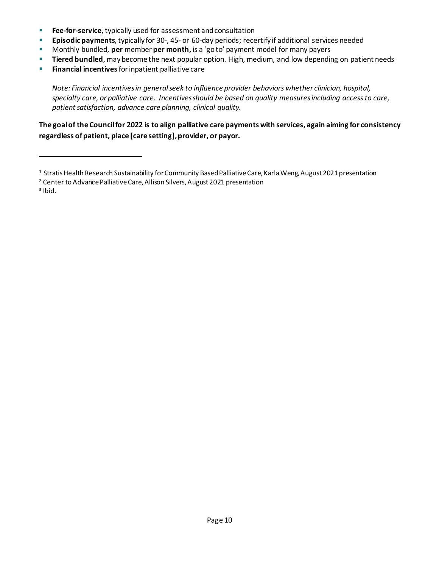- **Fee-for-service**, typically used for assessment and consultation
- **Episodic payments**, typically for 30-, 45- or 60-day periods; recertify if additional services needed
- **Monthly bundled, per member per month, is a 'goto' payment model for many payers**
- **Tiered bundled**, may become the next popular option. High, medium, and low depending on patient needs
- **Financial incentives** for inpatient palliative care

*Note: Financial incentives in general seek to influence provider behaviors whether clinician, hospital, specialty care, or palliative care. Incentives should be based on quality measures including access to care, patient satisfaction, advance care planning, clinical quality.*

**The goal of the Council for 2022 is to align palliative care payments with services, again aiming for consistency regardless of patient, place [care setting], provider, or payor.**

- <span id="page-11-1"></span><sup>2</sup> Center to Advance Palliative Care, Allison Silvers, August 2021 presentation
- <span id="page-11-2"></span> $3$  Ibid.

<span id="page-11-0"></span><sup>&</sup>lt;sup>1</sup> Stratis Health Research Sustainability for Community Based Palliative Care, Karla Weng, August 2021 presentation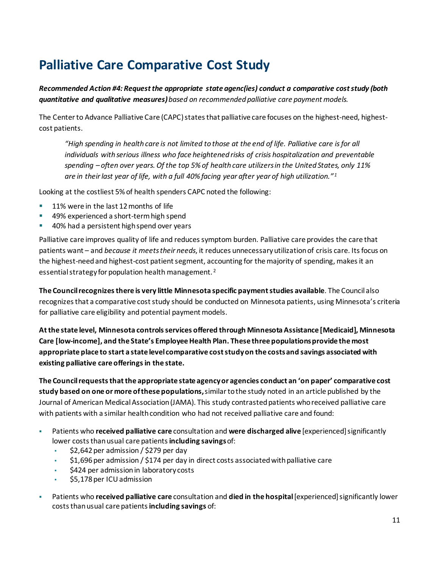# <span id="page-12-0"></span>**Palliative Care Comparative Cost Study**

*Recommended Action #4: Request the appropriate state agenc(ies) conduct a comparative cost study (both quantitative and qualitative measures)based on recommended palliative care payment models.* 

The Center to Advance Palliative Care (CAPC) states that palliative care focuses on the highest-need, highestcost patients.

*"High spending in health care is not limited to those at the end of life. Palliative care is for all individuals with serious illness who face heightened risks of crisis hospitalization and preventable spending – often over years. Of the top 5% of health care utilizers in the United States, only 11% are in their last year of life, with a full 40% facing year after year of high utilization." [1](#page-13-0)*

Looking at the costliest 5% of health spenders CAPC noted the following:

- **11% were in the last 12 months of life**
- 49% experienced a short-term high spend
- **40% had a persistent high spend over years**

Palliative care improves quality of life and reduces symptom burden. Palliative care provides the care that patients want – and *because it meets their needs*, it reduces unnecessary utilization of crisis care. Its focus on the highest-need and highest-cost patient segment, accounting for the majority of spending, makes it an essential strategy for population health management. [2](#page-13-1)

**The Council recognizes there is very little Minnesota specific payment studies available**. The Council also recognizes that a comparative cost study should be conducted on Minnesota patients, using Minnesota's criteria for palliative care eligibility and potential payment models.

**At the state level, Minnesota controls services offered through Minnesota Assistance [Medicaid], Minnesota Care [low-income], and the State's Employee Health Plan. These three populations provide the most appropriate place to start a state level comparative cost study on the costs and savings associated with existing palliative care offerings in the state.**

**The Council requests that the appropriate state agency or agencies conduct an 'on paper' comparative cost study based on one or more of these populations,**similar to the study noted in an article published by the Journal of American Medical Association (JAMA). This study contrasted patients who received palliative care with patients with a similar health condition who had not received palliative care and found:

- Patients who **received palliative care** consultation and **were discharged alive** [experienced] significantly lower costs than usual care patients **including savings**of:
	- $\frac{1}{2}$  \$2,642 per admission / \$279 per day
	- $$1,696$  per admission /  $$174$  per day in direct costs associated with palliative care
	- \$424 per admission in laboratory costs
	- \$5,178 per ICU admission
- Patients who **received palliative care** consultation and **died in the hospital**[experienced] significantly lower costs than usual care patients **including savings** of: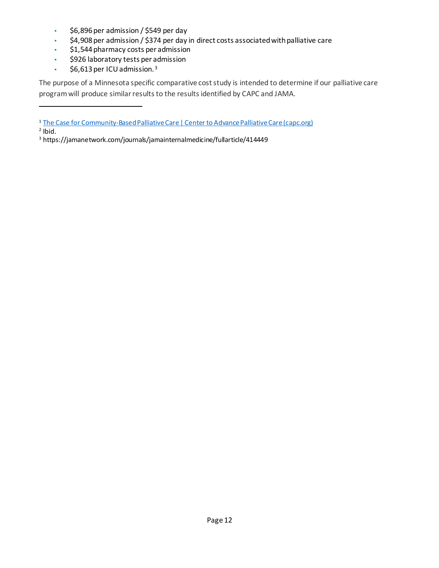- \$6,896 per admission / \$549 per day
- \$4,908 per admission / \$374 per day in direct costs associated with palliative care
- \$1,544 pharmacy costs per admission
- \$926 laboratory tests per admission
- $\cdot$  \$6,61[3](#page-13-2) per ICU admission.<sup>3</sup>

The purpose of a Minnesota specific comparative cost study is intended to determine if our palliative care program will produce similar results to the results identified by CAPC and JAMA.

<span id="page-13-1"></span> $2$  lbid.

<span id="page-13-0"></span><sup>&</sup>lt;sup>1</sup> [The Case for Community-Based Palliative Care | Center to Advance Palliative Care \(capc.org\)](https://www.capc.org/documents/867/)

<span id="page-13-2"></span><sup>3</sup> https://jamanetwork.com/journals/jamainternalmedicine/fullarticle/414449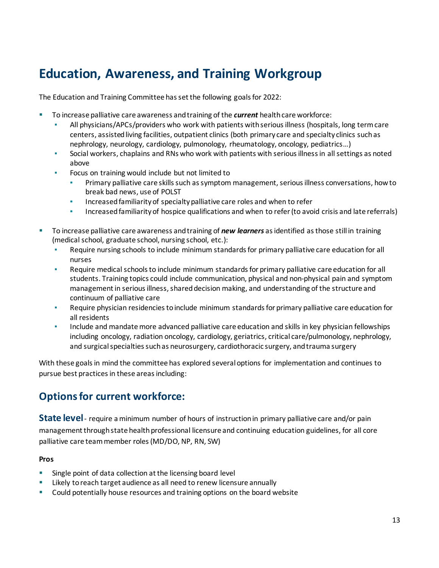# <span id="page-14-0"></span>**Education, Awareness, and Training Workgroup**

The Education and Training Committee has set the following goals for 2022:

- To increase palliative care awareness and training of the *current* health care workforce:
	- All physicians/APCs/providers who work with patients with serious illness (hospitals, long term care centers, assisted living facilities, outpatient clinics (both primary care and specialty clinics such as nephrology, neurology, cardiology, pulmonology, rheumatology, oncology, pediatrics…)
	- Social workers, chaplains and RNs who work with patients with serious illness in all settings as noted above
	- Focus on training would include but not limited to
		- **•** Primary palliative care skills such as symptom management, serious illness conversations, how to break bad news, use of POLST
		- **EXED Increased familiarity of specialty palliative care roles and when to refer**
		- **•** Increased familiarity of hospice qualifications and when to refer (to avoid crisis and late referrals)
- To increase palliative care awareness and training of *new learners* as identified as those still in training (medical school, graduate school, nursing school, etc.):
	- Require nursing schools to include minimum standards for primary palliative care education for all nurses
	- Require medical schools to include minimum standards for primary palliative care education for all students. Training topics could include communication, physical and non-physical pain and symptom management in serious illness, shared decision making, and understanding of the structure and continuum of palliative care
	- Require physician residencies to include minimum standards for primary palliative care education for all residents
	- **Include and mandate more advanced palliative care education and skills in key physician fellowships** including oncology, radiation oncology, cardiology, geriatrics, critical care/pulmonology, nephrology, and surgical specialties such as neurosurgery, cardiothoracic surgery, and trauma surgery

With these goals in mind the committee has explored several options for implementation and continues to pursue best practices in these areas including:

## **Options for current workforce:**

**State level**- require a minimum number of hours of instruction in primary palliative care and/or pain management through state health professional licensure and continuing education guidelines, for all core palliative care team member roles (MD/DO, NP, RN, SW)

#### **Pros**

- Single point of data collection at the licensing board level
- **EXECT** Likely to reach target audience as all need to renew licensure annually
- **Could potentially house resources and training options on the board website**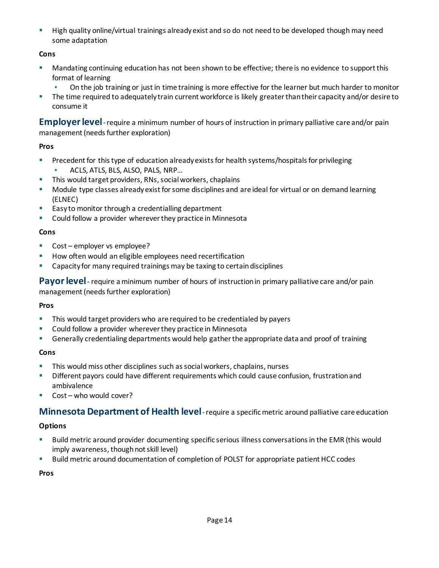**High quality online/virtual trainings already exist and so do not need to be developed though may need** some adaptation

### **Cons**

- Mandating continuing education has not been shown to be effective; there is no evidence to support this format of learning
	- On the job training or just in time training is more effective for the learner but much harder to monitor
- The time required to adequately train current workforce is likely greater than their capacity and/or desire to consume it

**Employer level**-require a minimum number of hours of instruction in primary palliative care and/or pain management (needs further exploration)

### **Pros**

- **Precedent for this type of education already exists for health systems/hospitals for privileging** 
	- ACLS, ATLS, BLS, ALSO, PALS, NRP...
- This would target providers, RNs, social workers, chaplains
- Module type classes already exist for some disciplines and are ideal for virtual or on demand learning (ELNEC)
- **Easy to monitor through a credentialling department**
- **•** Could follow a provider wherever they practice in Minnesota

### **Cons**

- **Cost** employer vs employee?
- **How often would an eligible employees need recertification**
- Capacity for many required trainings may be taxing to certain disciplines

**Payor level**- require a minimum number of hours of instruction in primary palliative care and/or pain management (needs further exploration)

### **Pros**

- This would target providers who are required to be credentialed by payers
- **Could follow a provider wherever they practice in Minnesota**
- Generally credentialing departments would help gather the appropriate data and proof of training

### **Cons**

- This would miss other disciplines such as social workers, chaplains, nurses
- **Different payors could have different requirements which could cause confusion, frustration and** ambivalence
- Cost who would cover?

### **Minnesota Department of Health level**-require a specific metric around palliative care education

### **Options**

- Build metric around provider documenting specific serious illness conversations in the EMR (this would imply awareness, though not skill level)
- Build metric around documentation of completion of POLST for appropriate patient HCC codes

**Pros**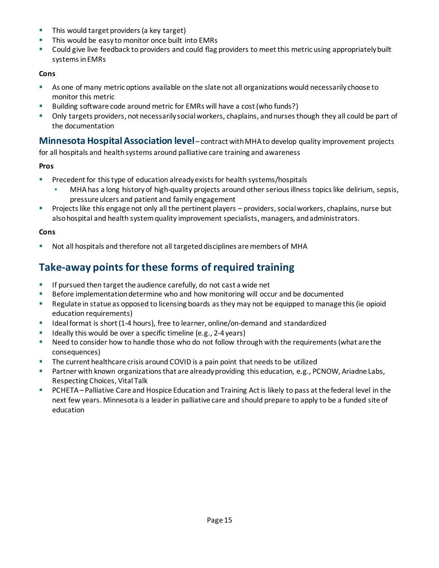- This would target providers (a key target)
- This would be easy to monitor once built into EMRs
- Could give live feedback to providers and could flag providers to meet this metric using appropriately built systems in EMRs

#### **Cons**

- As one of many metric options available on the slate not all organizations would necessarily choose to monitor this metric
- Building software code around metric for EMRs will have a cost (who funds?)
- Only targets providers, not necessarily social workers, chaplains, and nurses though they all could be part of the documentation

**Minnesota Hospital Association level**– contract with MHA to develop quality improvement projects for all hospitals and health systems around palliative care training and awareness

#### **Pros**

- **Precedent for this type of education already exists for health systems/hospitals** 
	- MHA has a long history of high-quality projects around other serious illness topics like delirium, sepsis, pressure ulcers and patient and family engagement
- Projects like this engage not only all the pertinent players providers, social workers, chaplains, nurse but also hospital and health system quality improvement specialists, managers, and administrators.

#### **Cons**

Not all hospitals and therefore not all targeted disciplines are members of MHA

## **Take-away points for these forms of required training**

- **If pursued then target the audience carefully, do not cast a wide net**
- **Before implementation determine who and how monitoring will occur and be documented**
- Regulate in statue as opposed to licensing boards as they may not be equipped to manage this (ie opioid education requirements)
- Ideal format is short (1-4 hours), free to learner, online/on-demand and standardized
- $\blacksquare$  Ideally this would be over a specific timeline (e.g., 2-4 years)
- **•** Need to consider how to handle those who do not follow through with the requirements (what are the consequences)
- The current healthcare crisis around COVID is a pain point that needs to be utilized
- Partner with known organizations that are already providing this education, e.g., PCNOW, Ariadne Labs, Respecting Choices, Vital Talk
- PCHETA Palliative Care and Hospice Education and Training Act is likely to pass at the federal level in the next few years. Minnesota is a leader in palliative care and should prepare to apply to be a funded site of education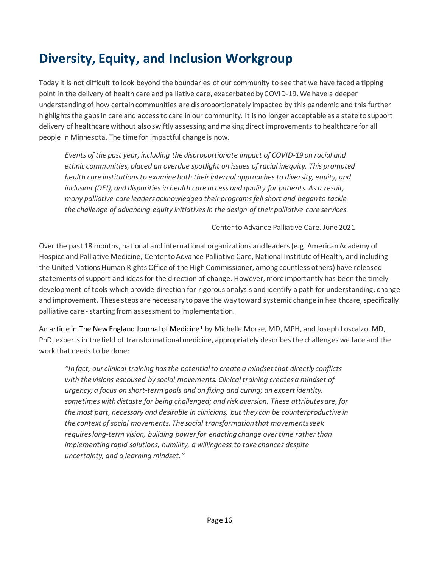# <span id="page-17-0"></span>**Diversity, Equity, and Inclusion Workgroup**

Today it is not difficult to look beyond the boundaries of our community to see that we have faced a tipping point in the delivery of health care and palliative care, exacerbated by COVID-19. We have a deeper understanding of how certain communities are disproportionately impacted by this pandemic and this further highlights the gaps in care and access to care in our community. It is no longer acceptable as a state to support delivery of healthcare without also swiftly assessing and making direct improvements to healthcare for all people in Minnesota. The time for impactful change is now.

*Events of the past year, including the disproportionate impact of COVID-19 on racial and ethnic communities, placed an overdue spotlight on issues of racial inequity. This prompted health care institutions to examine both their internal approaches to diversity, equity, and inclusion (DEI), and disparities in health care access and quality for patients. As a result, many palliative care leaders acknowledged their programs fell short and began to tackle the challenge of advancing equity initiatives in the design of their palliative care services.* 

-Center to Advance Palliative Care. June 2021

Over the past 18 months, national and international organizations and leaders (e.g. American Academy of Hospice and Palliative Medicine, Center to Advance Palliative Care, National Institute of Health, and including the United Nations Human Rights Office of the High Commissioner, among countless others) have released statements of support and ideas for the direction of change. However, more importantly has been the timely development of tools which provide direction for rigorous analysis and identify a path for understanding, change and improvement. These steps are necessary to pave the way toward systemic change in healthcare, specifically palliative care - starting from assessment to implementation.

An article in The New England Journal of Medicine<sup>[1](#page-18-0)</sup> by Michelle Morse, MD, MPH, and Joseph Loscalzo, MD, PhD, experts in the field of transformational medicine, appropriately describes the challenges we face and the work that needs to be done:

*"In fact, our clinical training hasthe potentialto create a mindsetthat directly conflicts with the visions espoused by social movements. Clinical training createsa mindset of urgency; a focus on short-termgoals and on fixing and curing; an expertidentity, sometimes with distaste for being challenged; and risk aversion. These attributesare, for the most part, necessary and desirable in clinicians, but they can be counterproductive in the context of social movements. The social transformation that movementsseek requireslong-term vision, building powerfor enacting change overtime ratherthan implementing rapid solutions, humility, a willingness to take chances despite uncertainty, and a learning mindset."*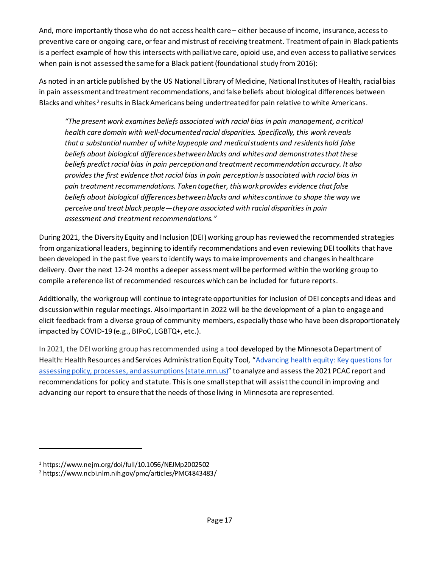And, more importantly those who do not access health care – either because of income, insurance, access to preventive care or ongoing care, or fear and mistrust of receiving treatment. Treatment of pain in Black patients is a perfect example of how this intersects with palliative care, opioid use, and even access to palliative services when pain is not assessed the same for a Black patient (foundational study from 2016):

As noted in an article published by the US National Library of Medicine, National Institutes of Health, racial bias in pain assessment and treatment recommendations, and false beliefs about biological differences between Blacks and whites<sup>[2](#page-18-1)</sup> results in Black Americans being undertreated for pain relative to white Americans.

*"The present work examines beliefs associated with racial bias in pain management, a critical health care domain with well-documented racial disparities. Specifically, this work reveals that a substantial number of white laypeople and medical students and residents hold false beliefs about biological differences between blacks and whites and demonstrates that these beliefs predict racial bias in pain perception and treatment recommendation accuracy. It also provides the first evidence that racial bias in pain perception is associated with racial bias in pain treatment recommendations. Taken together, this work provides evidence that false beliefs about biological differences between blacks and whites continue to shape the way we perceive and treat black people—they are associated with racial disparities in pain assessment and treatment recommendations."*

During 2021, the Diversity Equity and Inclusion (DEI) working group has reviewed the recommended strategies from organizational leaders, beginning to identify recommendations and even reviewing DEI toolkits that have been developed in the past five years to identify ways to make improvements and changes in healthcare delivery. Over the next 12-24 months a deeper assessment will be performed within the working group to compile a reference list of recommended resources which can be included for future reports.

Additionally, the workgroup will continue to integrate opportunities for inclusion of DEI concepts and ideas and discussion within regular meetings. Also important in 2022 will be the development of a plan to engage and elicit feedback from a diverse group of community members, especially those who have been disproportionately impacted by COVID-19 (e.g., BIPoC, LGBTQ+, etc.).

In 2021, the DEI working group has recommended using a tool developed by the Minnesota Department of Health: Health Resources and Services Administration Equity Tool, ["Advancing health equity: Key questions for](https://www.health.state.mn.us/communities/practice/resources/publications/docs/1811advancingHEkeyQs.pdf)  [assessing policy, processes, and assumptions \(state.mn.us\)](https://www.health.state.mn.us/communities/practice/resources/publications/docs/1811advancingHEkeyQs.pdf)" to analyze and assess the 2021 PCAC report and recommendations for policy and statute. This is one small step that will assist the council in improving and advancing our report to ensure that the needs of those living in Minnesota are represented.

<span id="page-18-0"></span><sup>1</sup> https://www.nejm.org/doi/full/10.1056/NEJMp2002502

<span id="page-18-1"></span><sup>2</sup> https://www.ncbi.nlm.nih.gov/pmc/articles/PMC4843483/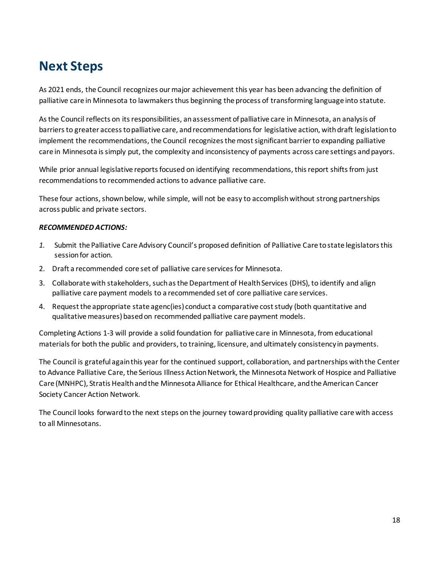# <span id="page-19-0"></span>**Next Steps**

As 2021 ends, the Council recognizes our major achievement this year has been advancing the definition of palliative care in Minnesota to lawmakersthus beginning the process of transforming language into statute.

As the Council reflects on its responsibilities, an assessment of palliative care in Minnesota, an analysis of barriers to greater access to palliative care, and recommendations for legislative action, with draft legislation to implement the recommendations, the Council recognizes the most significant barrier to expanding palliative care in Minnesota is simply put, the complexity and inconsistency of payments across care settings and payors.

While prior annual legislative reports focused on identifying recommendations, this report shifts from just recommendations to recommended actions to advance palliative care.

These four actions, shown below, while simple, will not be easy to accomplish without strong partnerships across public and private sectors.

#### *RECOMMENDED ACTIONS:*

- *1.* Submit the Palliative Care Advisory Council's proposed definition of Palliative Care to state legislators this session for action.
- 2. Draft a recommended core set of palliative care services for Minnesota.
- 3. Collaborate with stakeholders, such as the Department of Health Services (DHS), to identify and align palliative care payment models to a recommended set of core palliative care services.
- 4. Request the appropriate state agenc(ies) conduct a comparative cost study (both quantitative and qualitative measures) based on recommended palliative care payment models.

Completing Actions 1-3 will provide a solid foundation for palliative care in Minnesota, from educational materials for both the public and providers, to training, licensure, and ultimately consistency in payments.

The Council is grateful again this year for the continued support, collaboration, and partnerships with the Center to Advance Palliative Care, the Serious Illness Action Network, the Minnesota Network of Hospice and Palliative Care (MNHPC), Stratis Health and the Minnesota Alliance for Ethical Healthcare, and the American Cancer Society Cancer Action Network.

The Council looks forward to the next steps on the journey toward providing quality palliative care with access to all Minnesotans.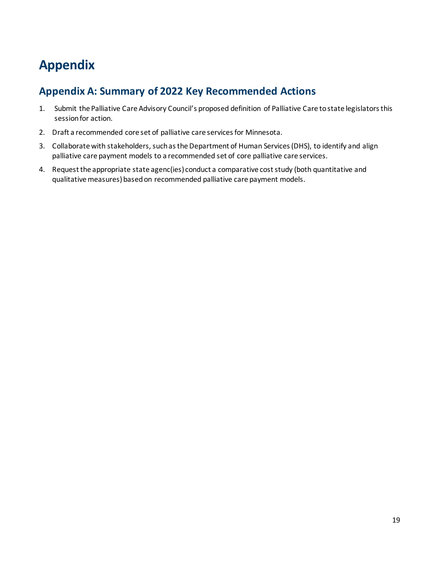# <span id="page-20-0"></span>**Appendix**

## <span id="page-20-1"></span>**Appendix A: Summary of 2022 Key Recommended Actions**

- 1. Submit the Palliative Care Advisory Council's proposed definition of Palliative Care to state legislators this session for action.
- 2. Draft a recommended core set of palliative care services for Minnesota.
- 3. Collaborate with stakeholders, such as the Department of Human Services (DHS), to identify and align palliative care payment models to a recommended set of core palliative care services.
- 4. Request the appropriate state agenc(ies) conduct a comparative cost study (both quantitative and qualitative measures) based on recommended palliative care payment models.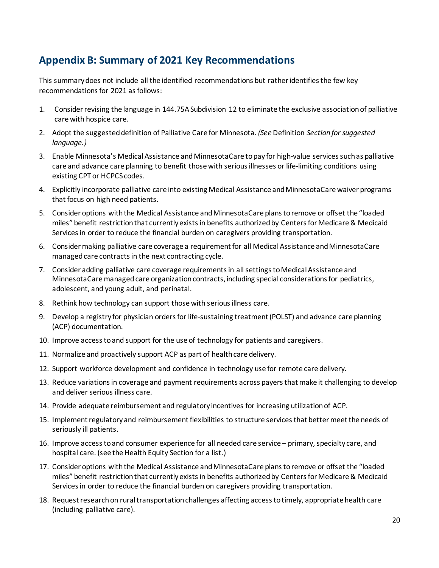## <span id="page-21-0"></span>**Appendix B: Summary of 2021 Key Recommendations**

This summary does not include all the identified recommendations but rather identifies the few key recommendations for 2021 as follows:

- 1. Consider revising the language in 144.75A Subdivision 12 to eliminate the exclusive association of palliative care with hospice care.
- 2. Adopt the suggested definition of Palliative Care for Minnesota. *(See* Definition *Section for suggested language.)*
- 3. Enable Minnesota's Medical Assistance and MinnesotaCare to pay for high-value services such as palliative care and advance care planning to benefit those with serious illnesses or life-limiting conditions using existing CPT or HCPCS codes.
- 4. Explicitly incorporate palliative care into existing Medical Assistance and MinnesotaCare waiver programs that focus on high need patients.
- 5. Consider options with the Medical Assistance and MinnesotaCare plans to remove or offset the "loaded miles" benefit restriction that currently exists in benefits authorized by Centers for Medicare & Medicaid Services in order to reduce the financial burden on caregivers providing transportation.
- 6. Consider making palliative care coverage a requirement for all Medical Assistance and MinnesotaCare managed care contracts in the next contracting cycle.
- 7. Consider adding palliative care coverage requirements in all settings to Medical Assistance and MinnesotaCare managed care organization contracts, including special considerations for pediatrics, adolescent, and young adult, and perinatal.
- 8. Rethink how technology can support those with serious illness care.
- 9. Develop a registry for physician orders for life-sustaining treatment (POLST) and advance care planning (ACP) documentation.
- 10. Improve accessto and support for the use of technology for patients and caregivers.
- 11. Normalize and proactively support ACP as part of health care delivery.
- 12. Support workforce development and confidence in technology use for remote care delivery.
- 13. Reduce variations in coverage and payment requirements across payers that make it challenging to develop and deliver serious illness care.
- 14. Provide adequate reimbursement and regulatory incentives for increasing utilization of ACP.
- 15. Implement regulatory and reimbursement flexibilities to structure services that better meet the needs of seriously ill patients.
- 16. Improve access to and consumer experience for all needed care service primary, specialty care, and hospital care. (see the Health Equity Section for a list.)
- 17. Consider options with the Medical Assistance and MinnesotaCare plans to remove or offset the "loaded miles" benefit restriction that currently exists in benefits authorized by Centers for Medicare & Medicaid Services in order to reduce the financial burden on caregivers providing transportation.
- 18. Request research on rural transportation challenges affecting access to timely, appropriate health care (including palliative care).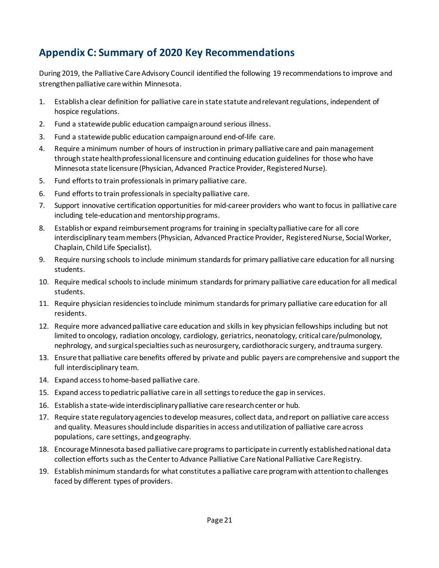## <span id="page-22-0"></span>**Appendix C: Summary of 2020 Key Recommendations**

During 2019, the Palliative Care Advisory Council identified the following 19 recommendations to improve and strengthen palliative care within Minnesota.

- 1. Establish a clear definition for palliative care in state statute and relevant regulations, independent of hospice regulations.
- 2. Fund a statewide public education campaign around serious illness.
- 3. Fund a statewide public education campaign around end-of-life care.
- 4. Require a minimum number of hours of instruction in primary palliative care and pain management through state health professional licensure and continuing education guidelines for those who have Minnesota state licensure (Physician, Advanced Practice Provider, Registered Nurse).
- 5. Fund efforts to train professionals in primary palliative care.
- 6. Fund efforts to train professionals in specialty palliative care.
- 7. Support innovative certification opportunities for mid-career providers who want to focus in palliative care including tele-education and mentorship programs.
- 8. Establish or expand reimbursement programs for training in specialty palliative care for all core interdisciplinary team members (Physician, Advanced Practice Provider, Registered Nurse, Social Worker, Chaplain, Child Life Specialist).
- 9. Require nursing schools to include minimum standards for primary palliative care education for all nursing students.
- 10. Require medical schools to include minimum standards for primary palliative care education for all medical students.
- 11. Require physician residencies to include minimum standards for primary palliative care education for all residents.
- 12. Require more advanced palliative care education and skills in key physician fellowships including but not limited to oncology, radiation oncology, cardiology, geriatrics, neonatology, critical care/pulmonology, nephrology, and surgical specialties such as neurosurgery, cardiothoracic surgery, and trauma surgery.
- 13. Ensure that palliative care benefits offered by private and public payers are comprehensive and support the full interdisciplinary team.
- 14. Expand access to home-based palliative care.
- 15. Expand access to pediatric palliative care in all settings to reduce the gap in services.
- 16. Establish a state-wide interdisciplinary palliative care research center or hub.
- 17. Require state regulatory agencies to develop measures, collect data, andreport on palliative care access and quality. Measures should include disparities in access and utilization of palliative care across populations, care settings, and geography.
- 18. Encourage Minnesota based palliative care programs to participate in currently established national data collection efforts such as the Center to Advance Palliative Care National Palliative Care Registry.
- 19. Establish minimum standards for what constitutes a palliative care program with attention to challenges faced by different types of providers.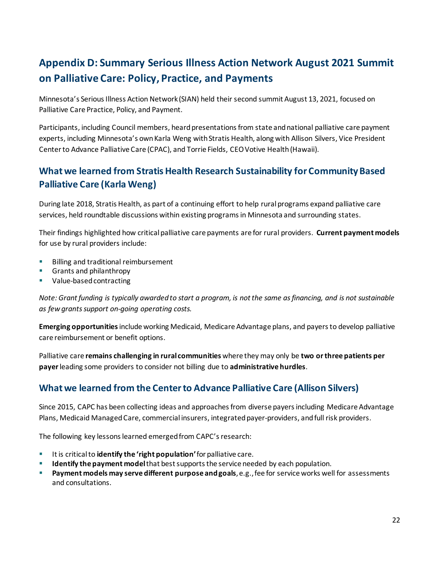## <span id="page-23-0"></span>**Appendix D: Summary Serious Illness Action Network August 2021 Summit on Palliative Care: Policy, Practice, and Payments**

Minnesota's Serious Illness Action Network (SIAN) held their second summit August 13, 2021, focused on Palliative Care Practice, Policy, and Payment.

Participants, including Council members, heard presentations from state and national palliative care payment experts, including Minnesota's own Karla Weng with Stratis Health, along with Allison Silvers, Vice President Center to Advance Palliative Care (CPAC), and Torrie Fields, CEO Votive Health (Hawaii).

## **What we learned from Stratis Health Research Sustainability for Community Based Palliative Care (Karla Weng)**

During late 2018, Stratis Health, as part of a continuing effort to help rural programs expand palliative care services, held roundtable discussions within existing programs in Minnesota and surrounding states.

Their findings highlighted how critical palliative care payments are for rural providers. **Current payment models** for use by rural providers include:

- **Billing and traditional reimbursement**
- Grants and philanthropy
- Value-based contracting

*Note: Grant funding is typically awarded to start a program, is not the same as financing, and is not sustainable as few grants support on-going operating costs.* 

**Emerging opportunities**include working Medicaid, Medicare Advantage plans, and payers to develop palliative care reimbursement or benefit options.

Palliative care **remains challenging in rural communities** where they may only be **two or three patients per payer**leading some providers to consider not billing due to **administrative hurdles**.

## **What we learned from the Center to Advance Palliative Care (Allison Silvers)**

Since 2015, CAPC has been collecting ideas and approaches from diverse payers including Medicare Advantage Plans, Medicaid Managed Care, commercial insurers, integrated payer-providers, and full risk providers.

The following key lessons learned emerged from CAPC's research:

- Itis critical to **identify the 'right population'**for palliative care.
- **Identify the payment model**that best supports the service needed by each population.
- **Payment models may serve different purpose and goals**, e.g., fee for service works well for assessments and consultations.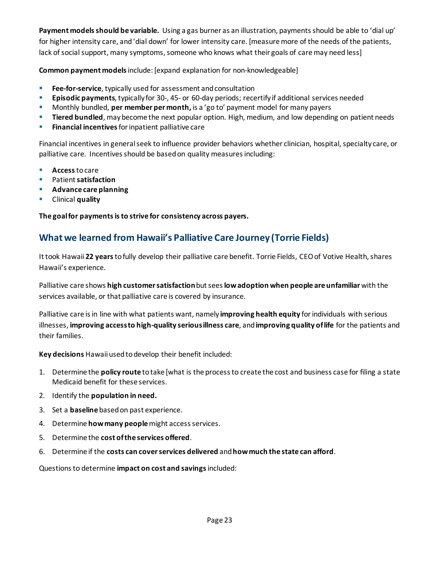**Payment models should be variable.** Using a gas burner as an illustration, payments should be able to 'dial up' for higher intensity care, and 'dial down' for lower intensity care. [measure more of the needs of the patients, lack of social support, many symptoms, someone who knows what their goals of care may need less]

**Common payment models**include: [expand explanation for non-knowledgeable]

- **Fee-for-service**, typically used for assessment and consultation
- **Episodic payments**, typically for 30-, 45- or 60-day periods; recertify if additional services needed
- Monthly bundled, **per member per month,** is a 'go to' payment model for many payers
- **Tiered bundled**, may become the next popular option. High, medium, and low depending on patient needs
- **Financial incentives** for inpatient palliative care

Financial incentives in general seek to influence provider behaviors whether clinician, hospital, specialty care, or palliative care. Incentives should be based on quality measures including:

- **Access**to care
- Patient **satisfaction**
- **Advance care planning**
- **E** Clinical **quality**

**The goal for payments is to strive for consistency across payers.**

### **What we learned from Hawaii's Palliative Care Journey (Torrie Fields)**

It took Hawaii **22 years**to fully develop their palliative care benefit. Torrie Fields, CEO of Votive Health, shares Hawaii's experience.

Palliative care shows **high customer satisfaction**but sees **low adoption when people are unfamiliar** with the services available, or that palliative care is covered by insurance.

Palliative care is in line with what patients want, namely **improving health equity** for individuals with serious illnesses, **improving access to high-quality serious illness care**, and **improving quality of life** for the patients and their families.

**Key decisions** Hawaii used to develop their benefit included:

- 1. Determine the **policy route** to take [what is the process to create the cost and business case for filing a state Medicaid benefit for these services.
- 2. Identify the **population in need.**
- 3. Set a **baseline** based on past experience.
- 4. Determine **how many people**might access services.
- 5. Determine the **cost of the services offered**.
- 6. Determine if the **costs can cover services delivered** and **how much the state can afford**.

Questions to determine **impact on cost and savings**included: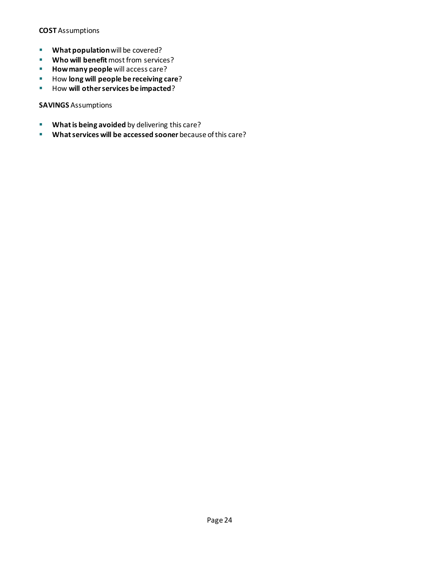#### **COST** Assumptions

- **What population** will be covered?
- **Who will benefit** most from services?
- **How many people** will access care?
- **How long will people be receiving care?**
- **How will other services be impacted**?

#### **SAVINGS** Assumptions

- **What is being avoided** by delivering this care?
- **What services will be accessed sooner** because of this care?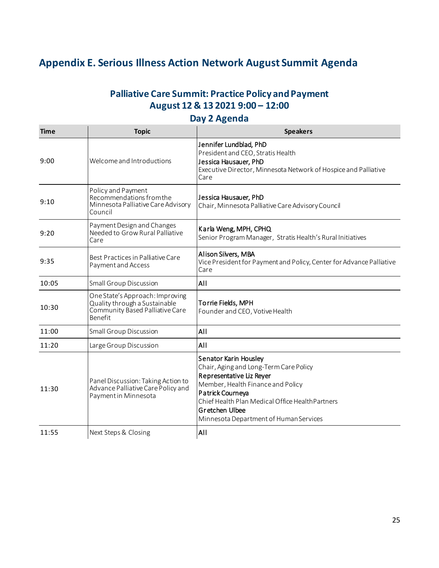## <span id="page-26-0"></span>**Appendix E. Serious Illness Action Network August Summit Agenda**

## **Palliative Care Summit: Practice Policy and Payment August 12 & 13 2021 9:00 – 12:00**

### **Day 2 Agenda**

| <b>Time</b> | <b>Topic</b>                                                                                                   | <b>Speakers</b>                                                                                                                                                                                                                                                      |  |  |
|-------------|----------------------------------------------------------------------------------------------------------------|----------------------------------------------------------------------------------------------------------------------------------------------------------------------------------------------------------------------------------------------------------------------|--|--|
| 9:00        | Welcome and Introductions                                                                                      | Jennifer Lundblad, PhD<br>President and CEO, Stratis Health<br>Jessica Hausauer, PhD<br>Executive Director, Minnesota Network of Hospice and Palliative<br>Care                                                                                                      |  |  |
| 9:10        | Policy and Payment<br>Recommendations from the<br>Minnesota Palliative Care Advisory<br>Council                | Jessica Hausauer, PhD<br>Chair, Minnesota Palliative Care Advisory Council                                                                                                                                                                                           |  |  |
| 9:20        | Payment Design and Changes<br>Needed to Grow Rural Palliative<br>Care                                          | Karla Weng, MPH, CPHQ<br>Senior Program Manager, Stratis Health's Rural Initiatives                                                                                                                                                                                  |  |  |
| 9:35        | Best Practices in Palliative Care<br>Payment and Access                                                        | Alison Silvers, MBA<br>Vice President for Payment and Policy, Center for Advance Palliative<br>Care                                                                                                                                                                  |  |  |
| 10:05       | <b>Small Group Discussion</b>                                                                                  | All                                                                                                                                                                                                                                                                  |  |  |
| 10:30       | One State's Approach: Improving<br>Quality through a Sustainable<br>Community Based Palliative Care<br>Benefit | Torrie Fields, MPH<br>Founder and CEO, Votive Health                                                                                                                                                                                                                 |  |  |
| 11:00       | <b>Small Group Discussion</b>                                                                                  | All                                                                                                                                                                                                                                                                  |  |  |
| 11:20       | Large Group Discussion                                                                                         | All                                                                                                                                                                                                                                                                  |  |  |
| 11:30       | Panel Discussion: Taking Action to<br>Advance Palliative Care Policy and<br>Payment in Minnesota               | Senator Karin Housley<br>Chair, Aging and Long-Term Care Policy<br>Representative Liz Reyer<br>Member, Health Finance and Policy<br>Patrick Courneya<br>Chief Health Plan Medical Office Health Partners<br>Gretchen Ulbee<br>Minnesota Department of Human Services |  |  |
| 11:55       | Next Steps & Closing                                                                                           | All                                                                                                                                                                                                                                                                  |  |  |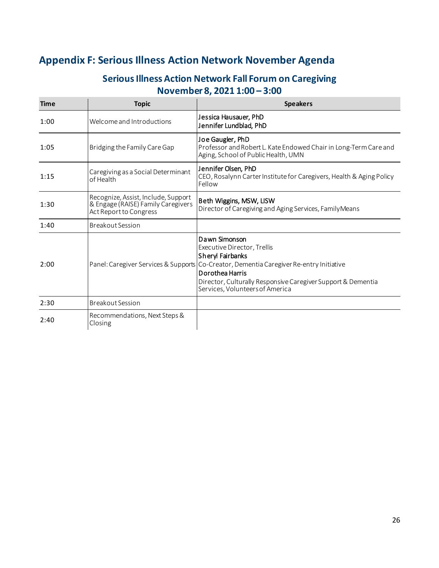## <span id="page-27-0"></span>**Appendix F: Serious Illness Action Network November Agenda**

### **Serious Illness Action Network Fall Forum on Caregiving November 8, 2021 1:00 – 3:00**

| <b>Time</b> | <b>Topic</b>                                                                                        | <b>Speakers</b>                                                                                                                                                                                                                                                                   |  |
|-------------|-----------------------------------------------------------------------------------------------------|-----------------------------------------------------------------------------------------------------------------------------------------------------------------------------------------------------------------------------------------------------------------------------------|--|
| 1:00        | Welcome and Introductions                                                                           | Jessica Hausauer, PhD<br>Jennifer Lundblad, PhD                                                                                                                                                                                                                                   |  |
| 1:05        | Bridging the Family Care Gap                                                                        | Joe Gaugler, PhD<br>Professor and Robert L. Kate Endowed Chair in Long-Term Care and<br>Aging, School of Public Health, UMN                                                                                                                                                       |  |
| 1:15        | Caregiving as a Social Determinant<br>of Health                                                     | Jennifer Olsen, PhD<br>CEO, Rosalynn Carter Institute for Caregivers, Health & Aging Policy<br>Fellow                                                                                                                                                                             |  |
| 1:30        | Recognize, Assist, Include, Support<br>& Engage (RAISE) Family Caregivers<br>Act Report to Congress | Beth Wiggins, MSW, LISW<br>Director of Caregiving and Aging Services, Family Means                                                                                                                                                                                                |  |
| 1:40        | <b>Breakout Session</b>                                                                             |                                                                                                                                                                                                                                                                                   |  |
| 2:00        |                                                                                                     | Dawn Simonson<br>Executive Director, Trellis<br>Sheryl Fairbanks<br>Panel: Caregiver Services & Supports Co-Creator, Dementia Caregiver Re-entry Initiative<br>Dorothea Harris<br>Director, Culturally Responsive Caregiver Support & Dementia<br>Services, Volunteers of America |  |
| 2:30        | <b>Breakout Session</b>                                                                             |                                                                                                                                                                                                                                                                                   |  |
| 2:40        | Recommendations, Next Steps &<br>Closing                                                            |                                                                                                                                                                                                                                                                                   |  |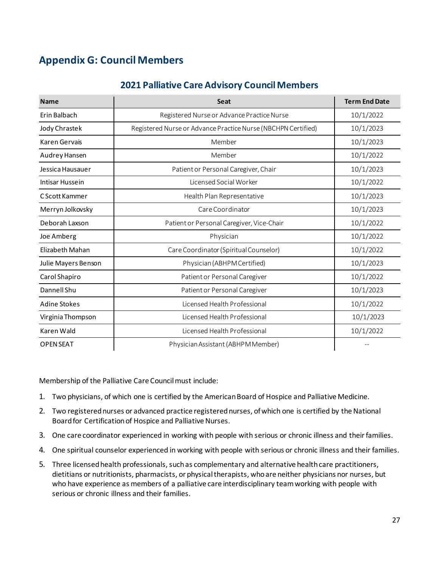## <span id="page-28-0"></span>**Appendix G: Council Members**

### **2021 Palliative Care Advisory Council Members**

| <b>Name</b>         | <b>Seat</b>                                                   | <b>Term End Date</b> |
|---------------------|---------------------------------------------------------------|----------------------|
| Erin Balbach        | Registered Nurse or Advance Practice Nurse                    | 10/1/2022            |
| Jody Chrastek       | Registered Nurse or Advance Practice Nurse (NBCHPN Certified) | 10/1/2023            |
| Karen Gervais       | Member                                                        | 10/1/2023            |
| Audrey Hansen       | Member                                                        | 10/1/2022            |
| Jessica Hausauer    | Patient or Personal Caregiver, Chair                          | 10/1/2023            |
| Intisar Hussein     | Licensed Social Worker                                        | 10/1/2022            |
| C Scott Kammer      | Health Plan Representative                                    | 10/1/2023            |
| Merryn Jolkovsky    | Care Coordinator                                              | 10/1/2023            |
| Deborah Laxson      | Patient or Personal Caregiver, Vice-Chair                     | 10/1/2022            |
| Joe Amberg          | Physician                                                     | 10/1/2022            |
| Elizabeth Mahan     | Care Coordinator (Spiritual Counselor)                        | 10/1/2022            |
| Julie Mayers Benson | Physician (ABHPM Certified)                                   | 10/1/2023            |
| Carol Shapiro       | Patient or Personal Caregiver                                 | 10/1/2022            |
| Dannell Shu         | Patient or Personal Caregiver                                 | 10/1/2023            |
| <b>Adine Stokes</b> | Licensed Health Professional                                  | 10/1/2022            |
| Virginia Thompson   | Licensed Health Professional                                  | 10/1/2023            |
| Karen Wald          | Licensed Health Professional                                  | 10/1/2022            |
| <b>OPEN SEAT</b>    | Physician Assistant (ABHPM Member)                            |                      |

Membership of the Palliative Care Council must include:

- 1. Two physicians, of which one is certified by the American Board of Hospice and Palliative Medicine.
- 2. Two registered nurses or advanced practice registered nurses, of which one is certified by the National Board for Certification of Hospice and Palliative Nurses.
- 3. One care coordinator experienced in working with people with serious or chronic illness and their families.
- 4. One spiritual counselor experienced in working with people with serious or chronic illness and their families.
- 5. Three licensed health professionals, such as complementary and alternative health care practitioners, dietitians or nutritionists, pharmacists, or physical therapists, who are neither physicians nor nurses, but who have experience as members of a palliative care interdisciplinary team working with people with serious or chronic illness and their families.